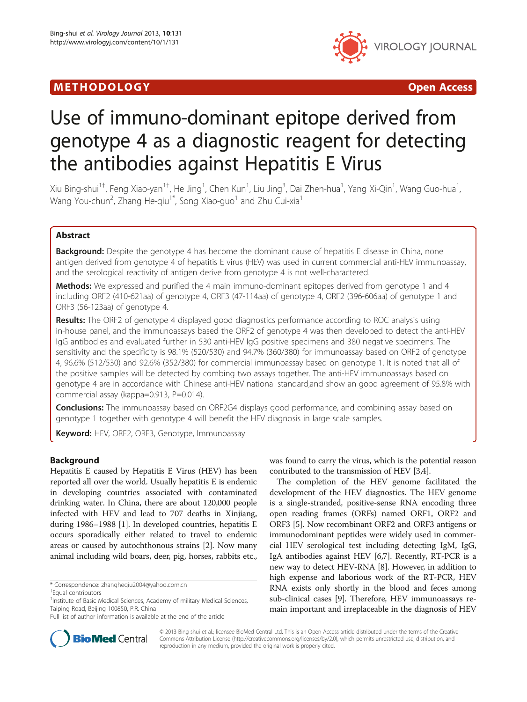## M E THODO L OGY Open Access



# Use of immuno-dominant epitope derived from genotype 4 as a diagnostic reagent for detecting the antibodies against Hepatitis E Virus

Xiu Bing-shui<sup>1†</sup>, Feng Xiao-yan<sup>1†</sup>, He Jing<sup>1</sup>, Chen Kun<sup>1</sup>, Liu Jing<sup>3</sup>, Dai Zhen-hua<sup>1</sup>, Yang Xi-Qin<sup>1</sup>, Wang Guo-hua<sup>1</sup> , Wang You-chun<sup>2</sup>, Zhang He-qiu<sup>1\*</sup>, Song Xiao-guo<sup>1</sup> and Zhu Cui-xia<sup>1</sup>

## Abstract

**Background:** Despite the genotype 4 has become the dominant cause of hepatitis E disease in China, none antigen derived from genotype 4 of hepatitis E virus (HEV) was used in current commercial anti-HEV immunoassay, and the serological reactivity of antigen derive from genotype 4 is not well-charactered.

**Methods:** We expressed and purified the 4 main immuno-dominant epitopes derived from genotype 1 and 4 including ORF2 (410-621aa) of genotype 4, ORF3 (47-114aa) of genotype 4, ORF2 (396-606aa) of genotype 1 and ORF3 (56-123aa) of genotype 4.

**Results:** The ORF2 of genotype 4 displayed good diagnostics performance according to ROC analysis using in-house panel, and the immunoassays based the ORF2 of genotype 4 was then developed to detect the anti-HEV IgG antibodies and evaluated further in 530 anti-HEV IgG positive specimens and 380 negative specimens. The sensitivity and the specificity is 98.1% (520/530) and 94.7% (360/380) for immunoassay based on ORF2 of genotype 4, 96.6% (512/530) and 92.6% (352/380) for commercial immunoassay based on genotype 1. It is noted that all of the positive samples will be detected by combing two assays together. The anti-HEV immunoassays based on genotype 4 are in accordance with Chinese anti-HEV national standard,and show an good agreement of 95.8% with commercial assay (kappa=0.913, P=0.014).

**Conclusions:** The immunoassay based on ORF2G4 displays good performance, and combining assay based on genotype 1 together with genotype 4 will benefit the HEV diagnosis in large scale samples.

Keyword: HEV, ORF2, ORF3, Genotype, Immunoassay

## Background

Hepatitis E caused by Hepatitis E Virus (HEV) has been reported all over the world. Usually hepatitis E is endemic in developing countries associated with contaminated drinking water. In China, there are about 120,000 people infected with HEV and lead to 707 deaths in Xinjiang, during 1986–1988 [\[1\]](#page-5-0). In developed countries, hepatitis E occurs sporadically either related to travel to endemic areas or caused by autochthonous strains [\[2](#page-5-0)]. Now many animal including wild boars, deer, pig, horses, rabbits etc.,

was found to carry the virus, which is the potential reason contributed to the transmission of HEV [\[3,4](#page-5-0)].

The completion of the HEV genome facilitated the development of the HEV diagnostics. The HEV genome is a single-stranded, positive-sense RNA encoding three open reading frames (ORFs) named ORF1, ORF2 and ORF3 [\[5](#page-5-0)]. Now recombinant ORF2 and ORF3 antigens or immunodominant peptides were widely used in commercial HEV serological test including detecting IgM, IgG, IgA antibodies against HEV [\[6,7\]](#page-5-0). Recently, RT-PCR is a new way to detect HEV-RNA [\[8](#page-5-0)]. However, in addition to high expense and laborious work of the RT-PCR, HEV RNA exists only shortly in the blood and feces among sub-clinical cases [[9\]](#page-5-0). Therefore, HEV immunoassays remain important and irreplaceable in the diagnosis of HEV



© 2013 Bing-shui et al.; licensee BioMed Central Ltd. This is an Open Access article distributed under the terms of the Creative Commons Attribution License [\(http://creativecommons.org/licenses/by/2.0\)](http://creativecommons.org/licenses/by/2.0), which permits unrestricted use, distribution, and reproduction in any medium, provided the original work is properly cited.

<sup>\*</sup> Correspondence: [zhangheqiu2004@yahoo.com.cn](mailto:zhangheqiu2004@yahoo.com.cn) †

Equal contributors

<sup>&</sup>lt;sup>1</sup> Institute of Basic Medical Sciences, Academy of military Medical Sciences, Taiping Road, Beijing 100850, P.R. China

Full list of author information is available at the end of the article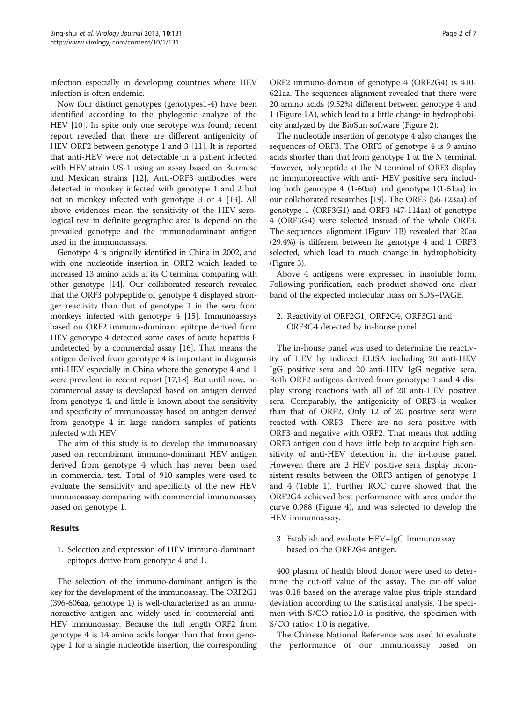infection especially in developing countries where HEV infection is often endemic.

Now four distinct genotypes (genotypes1-4) have been identified according to the phylogenic analyze of the HEV [[10](#page-5-0)]. In spite only one serotype was found, recent report revealed that there are different antigenicity of HEV ORF2 between genotype 1 and 3 [\[11\]](#page-5-0). It is reported that anti-HEV were not detectable in a patient infected with HEV strain US-1 using an assay based on Burmese and Mexican strains [[12\]](#page-5-0). Anti-ORF3 antibodies were detected in monkey infected with genotype 1 and 2 but not in monkey infected with genotype 3 or 4 [[13\]](#page-6-0). All above evidences mean the sensitivity of the HEV serological test in definite geographic area is depend on the prevailed genotype and the immunodominant antigen used in the immunoassays.

Genotype 4 is originally identified in China in 2002, and with one nucleotide insertion in ORF2 which leaded to increased 13 amino acids at its C terminal comparing with other genotype [\[14\]](#page-6-0). Our collaborated research revealed that the ORF3 polypeptide of genotype 4 displayed stronger reactivity than that of genotype 1 in the sera from monkeys infected with genotype 4 [\[15](#page-6-0)]. Immunoassays based on ORF2 immuno-dominant epitope derived from HEV genotype 4 detected some cases of acute hepatitis E undetected by a commercial assay [[16\]](#page-6-0). That means the antigen derived from genotype 4 is important in diagnosis anti-HEV especially in China where the genotype 4 and 1 were prevalent in recent report [\[17,18\]](#page-6-0). But until now, no commercial assay is developed based on antigen derived from genotype 4, and little is known about the sensitivity and specificity of immunoassay based on antigen derived from genotype 4 in large random samples of patients infected with HEV.

The aim of this study is to develop the immunoassay based on recombinant immuno-dominant HEV antigen derived from genotype 4 which has never been used in commercial test. Total of 910 samples were used to evaluate the sensitivity and specificity of the new HEV immunoassay comparing with commercial immunoassay based on genotype 1.

## Results

1. Selection and expression of HEV immuno-dominant epitopes derive from genotype 4 and 1.

The selection of the immuno-dominant antigen is the key for the development of the immunoassay. The ORF2G1 (396-606aa, genotype 1) is well-characterized as an immunoreactive antigen and widely used in commercial anti-HEV immunoassay. Because the full length ORF2 from genotype 4 is 14 amino acids longer than that from genotype 1 for a single nucleotide insertion, the corresponding

ORF2 immuno-domain of genotype 4 (ORF2G4) is 410- 621aa. The sequences alignment revealed that there were 20 amino acids (9.52%) different between genotype 4 and 1 (Figure [1](#page-2-0)A), which lead to a little change in hydrophobicity analyzed by the BioSun software (Figure [2](#page-2-0)).

The nucleotide insertion of genotype 4 also changes the sequences of ORF3. The ORF3 of genotype 4 is 9 amino acids shorter than that from genotype 1 at the N terminal. However, polypeptide at the N terminal of ORF3 display no immunoreactive with anti- HEV positive sera including both genotype 4 (1-60aa) and genotype 1(1-51aa) in our collaborated researches [[19](#page-6-0)]. The ORF3 (56-123aa) of genotype 1 (ORF3G1) and ORF3 (47-114aa) of genotype 4 (ORF3G4) were selected instead of the whole ORF3. The sequences alignment (Figure [1](#page-2-0)B) revealed that 20aa (29.4%) is different between he genotype 4 and 1 ORF3 selected, which lead to much change in hydrophobicity (Figure [3\)](#page-3-0).

Above 4 antigens were expressed in insoluble form. Following purification, each product showed one clear band of the expected molecular mass on SDS–PAGE.

2. Reactivity of ORF2G1, ORF2G4, ORF3G1 and ORF3G4 detected by in-house panel.

The in-house panel was used to determine the reactivity of HEV by indirect ELISA including 20 anti-HEV IgG positive sera and 20 anti-HEV IgG negative sera. Both ORF2 antigens derived from genotype 1 and 4 display strong reactions with all of 20 anti-HEV positive sera. Comparably, the antigenicity of ORF3 is weaker than that of ORF2. Only 12 of 20 positive sera were reacted with ORF3. There are no sera positive with ORF3 and negative with ORF2. That means that adding ORF3 antigen could have little help to acquire high sensitivity of anti-HEV detection in the in-house panel. However, there are 2 HEV positive sera display inconsistent results between the ORF3 antigen of genotype 1 and 4 (Table [1\)](#page-3-0). Further ROC curve showed that the ORF2G4 achieved best performance with area under the curve 0.988 (Figure [4\)](#page-3-0), and was selected to develop the HEV immunoassay.

3. Establish and evaluate HEV–IgG Immunoassay based on the ORF2G4 antigen.

400 plasma of health blood donor were used to determine the cut-off value of the assay. The cut-off value was 0.18 based on the average value plus triple standard deviation according to the statistical analysis. The specimen with S/CO ratio≥1.0 is positive, the specimen with S/CO ratio< 1.0 is negative.

The Chinese National Reference was used to evaluate the performance of our immunoassay based on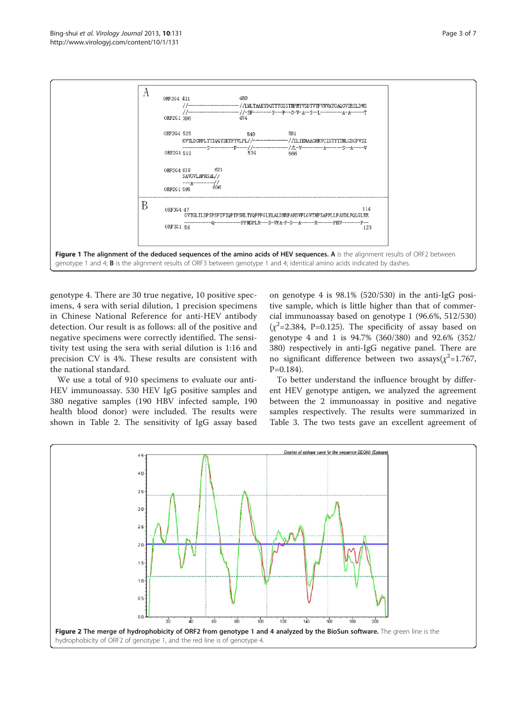<span id="page-2-0"></span>

genotype 4. There are 30 true negative, 10 positive specimens, 4 sera with serial dilution, 1 precision specimens in Chinese National Reference for anti-HEV antibody detection. Our result is as follows: all of the positive and negative specimens were correctly identified. The sensitivity test using the sera with serial dilution is 1:16 and precision CV is 4%. These results are consistent with the national standard.

We use a total of 910 specimens to evaluate our anti-HEV immunoassay. 530 HEV IgG positive samples and 380 negative samples (190 HBV infected sample, 190 health blood donor) were included. The results were shown in Table [2.](#page-4-0) The sensitivity of IgG assay based

on genotype 4 is 98.1% (520/530) in the anti-IgG positive sample, which is little higher than that of commercial immunoassay based on genotype 1 (96.6%, 512/530)  $(\chi^2$ =2.384, P=0.125). The specificity of assay based on genotype 4 and 1 is 94.7% (360/380) and 92.6% (352/ 380) respectively in anti-IgG negative panel. There are no significant difference between two assays( $\chi^2$ =1.767,  $P=0.184$ ).

To better understand the influence brought by different HEV genotype antigen, we analyzed the agreement between the 2 immunoassay in positive and negative samples respectively. The results were summarized in Table [3](#page-4-0). The two tests gave an excellent agreement of

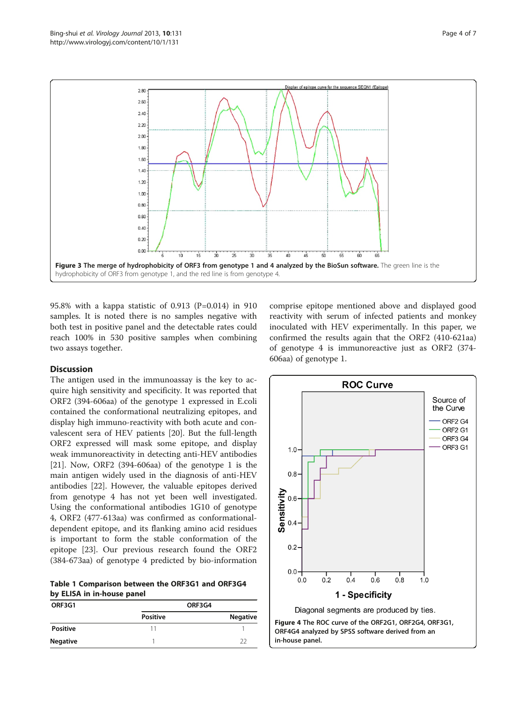<span id="page-3-0"></span>



95.8% with a kappa statistic of 0.913 (P=0.014) in 910 samples. It is noted there is no samples negative with both test in positive panel and the detectable rates could reach 100% in 530 positive samples when combining two assays together.

## **Discussion**

The antigen used in the immunoassay is the key to acquire high sensitivity and specificity. It was reported that ORF2 (394-606aa) of the genotype 1 expressed in E.coli contained the conformational neutralizing epitopes, and display high immuno-reactivity with both acute and convalescent sera of HEV patients [[20](#page-6-0)]. But the full-length ORF2 expressed will mask some epitope, and display weak immunoreactivity in detecting anti-HEV antibodies [[21\]](#page-6-0). Now, ORF2 (394-606aa) of the genotype 1 is the main antigen widely used in the diagnosis of anti-HEV antibodies [[22\]](#page-6-0). However, the valuable epitopes derived from genotype 4 has not yet been well investigated. Using the conformational antibodies 1G10 of genotype 4, ORF2 (477-613aa) was confirmed as conformationaldependent epitope, and its flanking amino acid residues is important to form the stable conformation of the epitope [[23](#page-6-0)]. Our previous research found the ORF2 (384-673aa) of genotype 4 predicted by bio-information

Table 1 Comparison between the ORF3G1 and ORF3G4 by ELISA in in-house panel

| ORF3G1          | ORF3G4          |          |  |
|-----------------|-----------------|----------|--|
|                 | <b>Positive</b> | Negative |  |
| <b>Positive</b> | 11              |          |  |
| <b>Negative</b> |                 | -22      |  |

comprise epitope mentioned above and displayed good reactivity with serum of infected patients and monkey inoculated with HEV experimentally. In this paper, we confirmed the results again that the ORF2 (410-621aa) of genotype 4 is immunoreactive just as ORF2 (374- 606aa) of genotype 1.

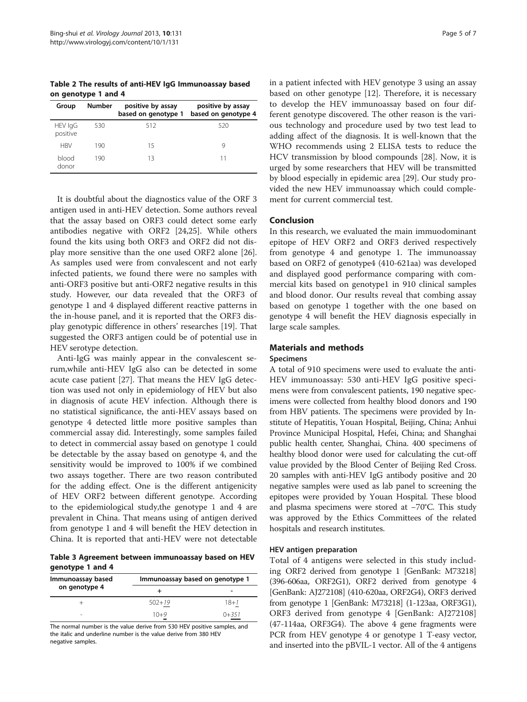<span id="page-4-0"></span>Table 2 The results of anti-HEV IgG Immunoassay based on genotype 1 and 4

| Group               | <b>Number</b> | positive by assay<br>based on genotype 1 | positive by assay<br>based on genotype 4 |
|---------------------|---------------|------------------------------------------|------------------------------------------|
| HEV IgG<br>positive | 530           | 512                                      | 520                                      |
| <b>HBV</b>          | 190           | 15                                       |                                          |
| blood<br>donor      | 190           | 13                                       | 11                                       |

It is doubtful about the diagnostics value of the ORF 3 antigen used in anti-HEV detection. Some authors reveal that the assay based on ORF3 could detect some early antibodies negative with ORF2 [\[24,25\]](#page-6-0). While others found the kits using both ORF3 and ORF2 did not display more sensitive than the one used ORF2 alone [\[26](#page-6-0)]. As samples used were from convalescent and not early infected patients, we found there were no samples with anti-ORF3 positive but anti-ORF2 negative results in this study. However, our data revealed that the ORF3 of genotype 1 and 4 displayed different reactive patterns in the in-house panel, and it is reported that the ORF3 display genotypic difference in others' researches [[19\]](#page-6-0). That suggested the ORF3 antigen could be of potential use in HEV serotype detection.

Anti-IgG was mainly appear in the convalescent serum,while anti-HEV IgG also can be detected in some acute case patient [[27\]](#page-6-0). That means the HEV IgG detection was used not only in epidemiology of HEV but also in diagnosis of acute HEV infection. Although there is no statistical significance, the anti-HEV assays based on genotype 4 detected little more positive samples than commercial assay did. Interestingly, some samples failed to detect in commercial assay based on genotype 1 could be detectable by the assay based on genotype 4, and the sensitivity would be improved to 100% if we combined two assays together. There are two reason contributed for the adding effect. One is the different antigenicity of HEV ORF2 between different genotype. According to the epidemiological study,the genotype 1 and 4 are prevalent in China. That means using of antigen derived from genotype 1 and 4 will benefit the HEV detection in China. It is reported that anti-HEV were not detectable

Table 3 Agreement between immunoassay based on HEV genotype 1 and 4

| Immunoassay based | Immunoassay based on genotype 1 |           |
|-------------------|---------------------------------|-----------|
| on genotype 4     |                                 |           |
|                   | $502 + 19$                      | $18 + 1$  |
|                   | $10+9$                          | $0 + 351$ |

The normal number is the value derive from 530 HEV positive samples, and the italic and underline number is the value derive from 380 HEV negative samples.

in a patient infected with HEV genotype 3 using an assay based on other genotype [\[12\]](#page-5-0). Therefore, it is necessary to develop the HEV immunoassay based on four different genotype discovered. The other reason is the various technology and procedure used by two test lead to adding affect of the diagnosis. It is well-known that the WHO recommends using 2 ELISA tests to reduce the HCV transmission by blood compounds [\[28\]](#page-6-0). Now, it is urged by some researchers that HEV will be transmitted by blood especially in epidemic area [[29](#page-6-0)]. Our study provided the new HEV immunoassay which could complement for current commercial test.

## Conclusion

In this research, we evaluated the main immuodominant epitope of HEV ORF2 and ORF3 derived respectively from genotype 4 and genotype 1. The immunoassay based on ORF2 of genotype4 (410-621aa) was developed and displayed good performance comparing with commercial kits based on genotype1 in 910 clinical samples and blood donor. Our results reveal that combing assay based on genotype 1 together with the one based on genotype 4 will benefit the HEV diagnosis especially in large scale samples.

## Materials and methods

#### Specimens

A total of 910 specimens were used to evaluate the anti-HEV immunoassay: 530 anti-HEV IgG positive specimens were from convalescent patients, 190 negative specimens were collected from healthy blood donors and 190 from HBV patients. The specimens were provided by Institute of Hepatitis, Youan Hospital, Beijing, China; Anhui Province Municipal Hospital, Hefei, China; and Shanghai public health center, Shanghai, China. 400 specimens of healthy blood donor were used for calculating the cut-off value provided by the Blood Center of Beijing Red Cross. 20 samples with anti-HEV IgG antibody positive and 20 negative samples were used as lab panel to screening the epitopes were provided by Youan Hospital. These blood and plasma specimens were stored at −70°C. This study was approved by the Ethics Committees of the related hospitals and research institutes.

## HEV antigen preparation

Total of 4 antigens were selected in this study including ORF2 derived from genotype 1 [GenBank: M73218] (396-606aa, ORF2G1), ORF2 derived from genotype 4 [GenBank: AJ272108] (410-620aa, ORF2G4), ORF3 derived from genotype 1 [GenBank: M73218] (1-123aa, ORF3G1), ORF3 derived from genotype 4 [GenBank: AJ272108] (47-114aa, ORF3G4). The above 4 gene fragments were PCR from HEV genotype 4 or genotype 1 T-easy vector, and inserted into the pBVIL-1 vector. All of the 4 antigens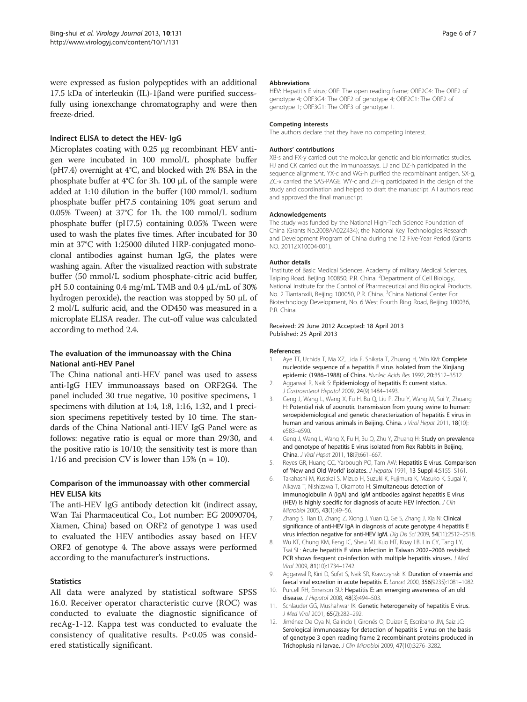<span id="page-5-0"></span>were expressed as fusion polypeptides with an additional 17.5 kDa of interleukin (IL)-1βand were purified successfully using ionexchange chromatography and were then freeze-dried.

## Indirect ELISA to detect the HEV- IgG

Microplates coating with 0.25 μg recombinant HEV antigen were incubated in 100 mmol/L phosphate buffer (pH7.4) overnight at 4°C, and blocked with 2% BSA in the phosphate buffer at 4°C for 3h. 100 μL of the sample were added at 1:10 dilution in the buffer (100 mmol/L sodium phosphate buffer pH7.5 containing 10% goat serum and 0.05% Tween) at 37°C for 1h. the 100 mmol/L sodium phosphate buffer (pH7.5) containing 0.05% Tween were used to wash the plates five times. After incubated for 30 min at 37°C with 1:25000 diluted HRP-conjugated monoclonal antibodies against human IgG, the plates were washing again. After the visualized reaction with substrate buffer (50 mmol/L sodium phosphate-citric acid buffer, pH 5.0 containing 0.4 mg/mL TMB and 0.4 μL/mL of 30% hydrogen peroxide), the reaction was stopped by 50 μL of 2 mol/L sulfuric acid, and the OD450 was measured in a microplate ELISA reader. The cut-off value was calculated according to method 2.4.

## The evaluation of the immunoassay with the China National anti-HEV Panel

The China national anti-HEV panel was used to assess anti-IgG HEV immunoassays based on ORF2G4. The panel included 30 true negative, 10 positive specimens, 1 specimens with dilution at 1:4, 1:8, 1:16, 1:32, and 1 precision specimens repetitively tested by 10 time. The standards of the China National anti-HEV IgG Panel were as follows: negative ratio is equal or more than 29/30, and the positive ratio is 10/10; the sensitivity test is more than 1/16 and precision CV is lower than 15% ( $n = 10$ ).

## Comparison of the immunoassay with other commercial HEV ELISA kits

The anti-HEV IgG antibody detection kit (indirect assay, Wan Tai Pharmaceutical Co., Lot number: EG 20090704, Xiamen, China) based on ORF2 of genotype 1 was used to evaluated the HEV antibodies assay based on HEV ORF2 of genotype 4. The above assays were performed according to the manufacturer's instructions.

## **Statistics**

All data were analyzed by statistical software SPSS 16.0. Receiver operator characteristic curve (ROC) was conducted to evaluate the diagnostic significance of recAg-1-12. Kappa test was conducted to evaluate the consistency of qualitative results. P<0.05 was considered statistically significant.

#### Abbreviations

HEV: Hepatitis E virus; ORF: The open reading frame; ORF2G4: The ORF2 of genotype 4; ORF3G4: The ORF2 of genotype 4; ORF2G1: The ORF2 of genotype 1; ORF3G1: The ORF3 of genotype 1.

#### Competing interests

The authors declare that they have no competing interest.

#### Authors' contributions

XB-s and FX-y carried out the molecular genetic and bioinformatics studies. HJ and CK carried out the immunoassays. LJ and DZ-h participated in the sequence alignment. YX-c and WG-h purified the recombinant antigen. SX-g, ZC-x carried the SAS-PAGE. WY-c and ZH-q participated in the design of the study and coordination and helped to draft the manuscript. All authors read and approved the final manuscript.

#### Acknowledgements

The study was funded by the National High-Tech Science Foundation of China (Grants No.2008AA02Z434); the National Key Technologies Research and Development Program of China during the 12 Five-Year Period (Grants NO. 2011ZX10004-001).

#### Author details

<sup>1</sup>Institute of Basic Medical Sciences, Academy of military Medical Sciences, Taiping Road, Beijing 100850, P.R. China. <sup>2</sup>Department of Cell Biology, National Institute for the Control of Pharmaceutical and Biological Products, No. 2 Tiantanxili, Beijing 100050, P.R. China. <sup>3</sup>China National Center For Biotechnology Development, No. 6 West Fourth Ring Road, Beijing 100036, P.R. China.

#### Received: 29 June 2012 Accepted: 18 April 2013 Published: 25 April 2013

#### References

- 1. Aye TT, Uchida T, Ma XZ, Lida F, Shikata T, Zhuang H, Win KM: Complete nucleotide sequence of a hepatitis E virus isolated from the Xinjiang epidemic (1986–1988) of China. Nucleic Acids Res 1992, 20:3512–3512.
- 2. Aggarwal R, Naik S: Epidemiology of hepatitis E: current status. J Gastroenterol Hepatol 2009, 24(9):1484–1493.
- 3. Geng J, Wang L, Wang X, Fu H, Bu Q, Liu P, Zhu Y, Wang M, Sui Y, Zhuang H: Potential risk of zoonotic transmission from young swine to human: seroepidemiological and genetic characterization of hepatitis E virus in human and various animals in Beijing. China. J Viral Hepat 2011, 18(10): e583–e590.
- 4. Geng J, Wang L, Wang X, Fu H, Bu Q, Zhu Y, Zhuang H: Study on prevalence and genotype of hepatitis E virus isolated from Rex Rabbits in Beijing, China. J Viral Hepat 2011, 18(9):661–667.
- Reyes GR, Huang CC, Yarbough PO, Tam AW: Hepatitis E virus. Comparison of 'New and Old World' isolates. J Hepatol 1991, 13 Suppl 4:S155-S161.
- 6. Takahashi M, Kusakai S, Mizuo H, Suzuki K, Fujimura K, Masuko K, Sugai Y, Aikawa T, Nishizawa T, Okamoto H: Simultaneous detection of immunoglobulin A (IgA) and IgM antibodies against hepatitis E virus (HEV) Is highly specific for diagnosis of acute HEV infection. J Clin Microbiol 2005, 43(1):49–56.
- 7. Zhang S, Tian D, Zhang Z, Xiong J, Yuan Q, Ge S, Zhang J, Xia N: Clinical significance of anti-HEV IgA in diagnosis of acute genotype 4 hepatitis E virus infection negative for anti-HEV IgM. Dig Dis Sci 2009, 54(11):2512–2518.
- 8. Wu KT, Chung KM, Feng IC, Sheu MJ, Kuo HT, Koay LB, Lin CY, Tang LY, Tsai SL: Acute hepatitis E virus infection in Taiwan 2002–2006 revisited: PCR shows frequent co-infection with multiple hepatitis viruses. J Med Virol 2009, 81(10):1734–1742.
- 9. Aggarwal R, Kini D, Sofat S, Naik SR, Krawczynski K: Duration of viraemia and faecal viral excretion in acute hepatitis E. Lancet 2000, 356(9235):1081–1082.
- 10. Purcell RH, Emerson SU: Hepatitis E: an emerging awareness of an old disease. J Hepatol 2008, 48(3):494–503.
- 11. Schlauder GG, Mushahwar IK: Genetic heterogeneity of hepatitis E virus. J Med Virol 2001, 65(2):282–292.
- 12. Jiménez De Oya N, Galindo I, Gironés O, Duizer E, Escribano JM, Saiz JC: Serological immunoassay for detection of hepatitis E virus on the basis of genotype 3 open reading frame 2 recombinant proteins produced in Trichoplusia ni larvae. J Clin Microbiol 2009, 47(10):3276–3282.